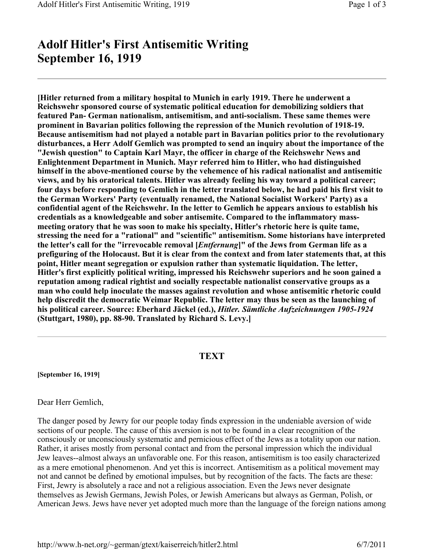# **Adolf Hitler's First Antisemitic Writing September 16, 1919**

**[Hitler returned from a military hospital to Munich in early 1919. There he underwent a Reichswehr sponsored course of systematic political education for demobilizing soldiers that featured Pan- German nationalism, antisemitism, and anti-socialism. These same themes were prominent in Bavarian politics following the repression of the Munich revolution of 1918-19. Because antisemitism had not played a notable part in Bavarian politics prior to the revolutionary disturbances, a Herr Adolf Gemlich was prompted to send an inquiry about the importance of the "Jewish question" to Captain Karl Mayr, the officer in charge of the Reichswehr News and Enlightenment Department in Munich. Mayr referred him to Hitler, who had distinguished himself in the above-mentioned course by the vehemence of his radical nationalist and antisemitic views, and by his oratorical talents. Hitler was already feeling his way toward a political career; four days before responding to Gemlich in the letter translated below, he had paid his first visit to the German Workers' Party (eventually renamed, the National Socialist Workers' Party) as a confidential agent of the Reichswehr. In the letter to Gemlich he appears anxious to establish his credentials as a knowledgeable and sober antisemite. Compared to the inflammatory massmeeting oratory that he was soon to make his specialty, Hitler's rhetoric here is quite tame, stressing the need for a "rational" and "scientific" antisemitism. Some historians have interpreted the letter's call for the "irrevocable removal [***Entfernung***]" of the Jews from German life as a prefiguring of the Holocaust. But it is clear from the context and from later statements that, at this point, Hitler meant segregation or expulsion rather than systematic liquidation. The letter, Hitler's first explicitly political writing, impressed his Reichswehr superiors and he soon gained a reputation among radical rightist and socially respectable nationalist conservative groups as a man who could help inoculate the masses against revolution and whose antisemitic rhetoric could help discredit the democratic Weimar Republic. The letter may thus be seen as the launching of his political career. Source: Eberhard Jäckel (ed.),** *Hitler. Sämtliche Aufzeichnungen 1905-1924* **(Stuttgart, 1980), pp. 88-90. Translated by Richard S. Levy.]**

# **TEXT**

**[September 16, 1919]**

#### Dear Herr Gemlich,

The danger posed by Jewry for our people today finds expression in the undeniable aversion of wide sections of our people. The cause of this aversion is not to be found in a clear recognition of the consciously or unconsciously systematic and pernicious effect of the Jews as a totality upon our nation. Rather, it arises mostly from personal contact and from the personal impression which the individual Jew leaves--almost always an unfavorable one. For this reason, antisemitism is too easily characterized as a mere emotional phenomenon. And yet this is incorrect. Antisemitism as a political movement may not and cannot be defined by emotional impulses, but by recognition of the facts. The facts are these: First, Jewry is absolutely a race and not a religious association. Even the Jews never designate themselves as Jewish Germans, Jewish Poles, or Jewish Americans but always as German, Polish, or American Jews. Jews have never yet adopted much more than the language of the foreign nations among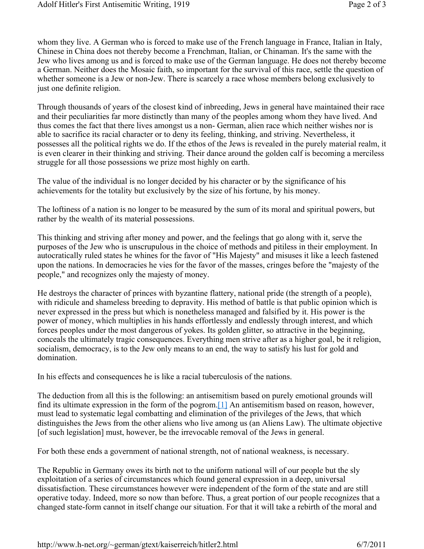whom they live. A German who is forced to make use of the French language in France, Italian in Italy, Chinese in China does not thereby become a Frenchman, Italian, or Chinaman. It's the same with the Jew who lives among us and is forced to make use of the German language. He does not thereby become a German. Neither does the Mosaic faith, so important for the survival of this race, settle the question of whether someone is a Jew or non-Jew. There is scarcely a race whose members belong exclusively to just one definite religion.

Through thousands of years of the closest kind of inbreeding, Jews in general have maintained their race and their peculiarities far more distinctly than many of the peoples among whom they have lived. And thus comes the fact that there lives amongst us a non- German, alien race which neither wishes nor is able to sacrifice its racial character or to deny its feeling, thinking, and striving. Nevertheless, it possesses all the political rights we do. If the ethos of the Jews is revealed in the purely material realm, it is even clearer in their thinking and striving. Their dance around the golden calf is becoming a merciless struggle for all those possessions we prize most highly on earth.

The value of the individual is no longer decided by his character or by the significance of his achievements for the totality but exclusively by the size of his fortune, by his money.

The loftiness of a nation is no longer to be measured by the sum of its moral and spiritual powers, but rather by the wealth of its material possessions.

This thinking and striving after money and power, and the feelings that go along with it, serve the purposes of the Jew who is unscrupulous in the choice of methods and pitiless in their employment. In autocratically ruled states he whines for the favor of "His Majesty" and misuses it like a leech fastened upon the nations. In democracies he vies for the favor of the masses, cringes before the "majesty of the people," and recognizes only the majesty of money.

He destroys the character of princes with byzantine flattery, national pride (the strength of a people), with ridicule and shameless breeding to depravity. His method of battle is that public opinion which is never expressed in the press but which is nonetheless managed and falsified by it. His power is the power of money, which multiplies in his hands effortlessly and endlessly through interest, and which forces peoples under the most dangerous of yokes. Its golden glitter, so attractive in the beginning, conceals the ultimately tragic consequences. Everything men strive after as a higher goal, be it religion, socialism, democracy, is to the Jew only means to an end, the way to satisfy his lust for gold and domination.

In his effects and consequences he is like a racial tuberculosis of the nations.

The deduction from all this is the following: an antisemitism based on purely emotional grounds will find its ultimate expression in the form of the pogrom.[1] An antisemitism based on reason, however, must lead to systematic legal combatting and elimination of the privileges of the Jews, that which distinguishes the Jews from the other aliens who live among us (an Aliens Law). The ultimate objective [of such legislation] must, however, be the irrevocable removal of the Jews in general.

For both these ends a government of national strength, not of national weakness, is necessary.

The Republic in Germany owes its birth not to the uniform national will of our people but the sly exploitation of a series of circumstances which found general expression in a deep, universal dissatisfaction. These circumstances however were independent of the form of the state and are still operative today. Indeed, more so now than before. Thus, a great portion of our people recognizes that a changed state-form cannot in itself change our situation. For that it will take a rebirth of the moral and